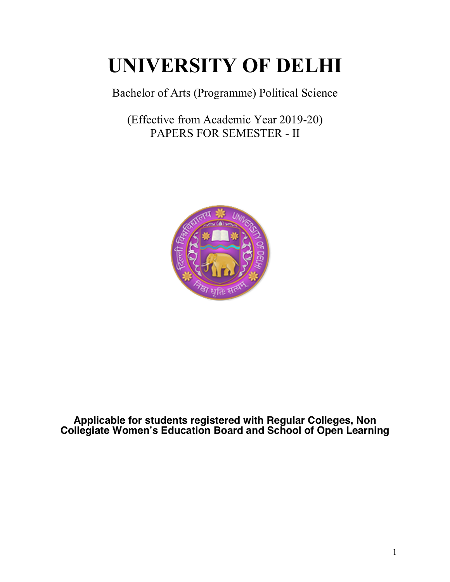# **UNIVERSITY OF DELHI**

Bachelor of Arts (Programme) Political Science

(Effective from Academic Year 2019-20) PAPERS FOR SEMESTER - II



**Applicable for students registered with Regular Colleges, Non Collegiate Women's Education Board and School of Open Learning**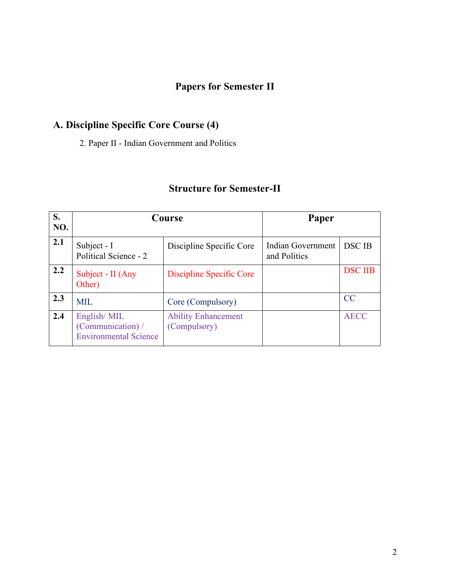# **Papers for Semester II**

# **A. Discipline Specific Core Course (4)**

2. Paper II - Indian Government and Politics

# **Structure for Semester-II**

| S.<br>NO. | Course                                                           |                                            | Paper                             |                |
|-----------|------------------------------------------------------------------|--------------------------------------------|-----------------------------------|----------------|
| 2.1       | Subject - I<br>Political Science - 2                             | Discipline Specific Core                   | Indian Government<br>and Politics | <b>DSC IB</b>  |
| 2.2       | Subject - II (Any<br>Other)                                      | Discipline Specific Core                   |                                   | <b>DSC IIB</b> |
| 2.3       | <b>MIL</b>                                                       | Core (Compulsory)                          |                                   | <b>CC</b>      |
| 2.4       | English/MIL<br>(Communication) /<br><b>Environmental Science</b> | <b>Ability Enhancement</b><br>(Compulsory) |                                   | <b>AECC</b>    |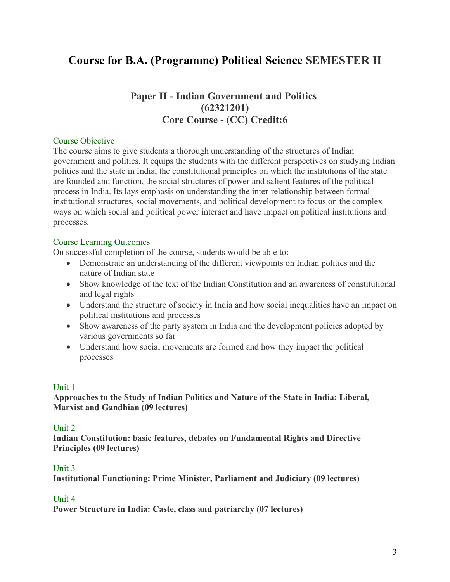# **Paper II - Indian Government and Politics (62321201) Core Course - (CC) Credit:6**

## Course Objective

The course aims to give students a thorough understanding of the structures of Indian government and politics. It equips the students with the different perspectives on studying Indian politics and the state in India, the constitutional principles on which the institutions of the state are founded and function, the social structures of power and salient features of the political process in India. Its lays emphasis on understanding the inter-relationship between formal institutional structures, social movements, and political development to focus on the complex ways on which social and political power interact and have impact on political institutions and processes.

#### Course Learning Outcomes

On successful completion of the course, students would be able to:

- Demonstrate an understanding of the different viewpoints on Indian politics and the nature of Indian state
- Show knowledge of the text of the Indian Constitution and an awareness of constitutional and legal rights
- Understand the structure of society in India and how social inequalities have an impact on political institutions and processes
- Show awareness of the party system in India and the development policies adopted by various governments so far
- Understand how social movements are formed and how they impact the political processes

## Unit 1

**Approaches to the Study of Indian Politics and Nature of the State in India: Liberal, Marxist and Gandhian (09 lectures)**

#### Unit 2

**Indian Constitution: basic features, debates on Fundamental Rights and Directive Principles (09 lectures)**

#### Unit 3

**Institutional Functioning: Prime Minister, Parliament and Judiciary (09 lectures)**

#### Unit 4

**Power Structure in India: Caste, class and patriarchy (07 lectures)**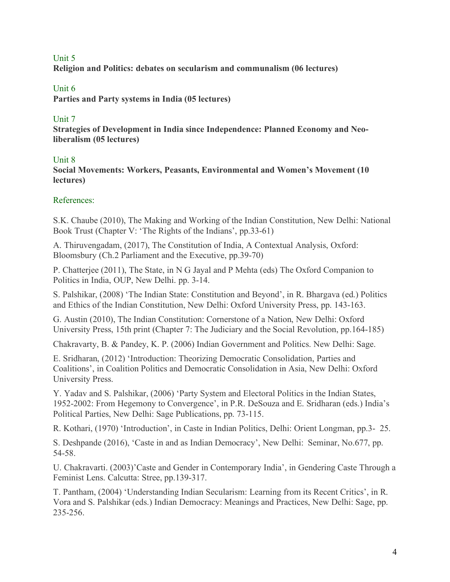#### Unit 5

**Religion and Politics: debates on secularism and communalism (06 lectures)**

## Unit 6

**Parties and Party systems in India (05 lectures)**

## Unit 7

**Strategies of Development in India since Independence: Planned Economy and Neoliberalism (05 lectures)**

#### Unit 8

**Social Movements: Workers, Peasants, Environmental and Women's Movement (10 lectures)**

#### References:

S.K. Chaube (2010), The Making and Working of the Indian Constitution, New Delhi: National Book Trust (Chapter V: 'The Rights of the Indians', pp.33-61)

A. Thiruvengadam, (2017), The Constitution of India, A Contextual Analysis, Oxford: Bloomsbury (Ch.2 Parliament and the Executive, pp.39-70)

P. Chatterjee (2011), The State, in N G Jayal and P Mehta (eds) The Oxford Companion to Politics in India, OUP, New Delhi. pp. 3-14.

S. Palshikar, (2008) 'The Indian State: Constitution and Beyond', in R. Bhargava (ed.) Politics and Ethics of the Indian Constitution, New Delhi: Oxford University Press, pp. 143-163.

G. Austin (2010), The Indian Constitution: Cornerstone of a Nation, New Delhi: Oxford University Press, 15th print (Chapter 7: The Judiciary and the Social Revolution, pp.164-185)

Chakravarty, B. & Pandey, K. P. (2006) Indian Government and Politics. New Delhi: Sage.

E. Sridharan, (2012) 'Introduction: Theorizing Democratic Consolidation, Parties and Coalitions', in Coalition Politics and Democratic Consolidation in Asia, New Delhi: Oxford University Press.

Y. Yadav and S. Palshikar, (2006) 'Party System and Electoral Politics in the Indian States, 1952-2002: From Hegemony to Convergence', in P.R. DeSouza and E. Sridharan (eds.) India's Political Parties, New Delhi: Sage Publications, pp. 73-115.

R. Kothari, (1970) 'Introduction', in Caste in Indian Politics, Delhi: Orient Longman, pp.3- 25.

S. Deshpande (2016), 'Caste in and as Indian Democracy', New Delhi: Seminar, No.677, pp. 54-58.

U. Chakravarti. (2003)'Caste and Gender in Contemporary India', in Gendering Caste Through a Feminist Lens. Calcutta: Stree, pp.139-317.

T. Pantham, (2004) 'Understanding Indian Secularism: Learning from its Recent Critics', in R. Vora and S. Palshikar (eds.) Indian Democracy: Meanings and Practices, New Delhi: Sage, pp. 235-256.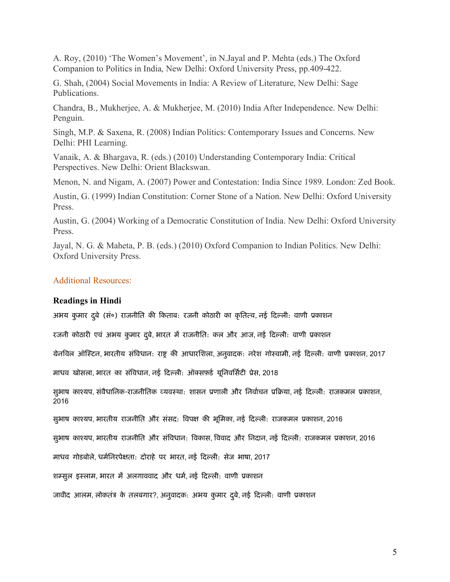A. Roy, (2010) 'The Women's Movement', in N.Jayal and P. Mehta (eds.) The Oxford Companion to Politics in India, New Delhi: Oxford University Press, pp.409-422.

G. Shah, (2004) Social Movements in India: A Review of Literature, New Delhi: Sage Publications.

Chandra, B., Mukherjee, A. & Mukherjee, M. (2010) India After Independence. New Delhi: Penguin.

Singh, M.P. & Saxena, R. (2008) Indian Politics: Contemporary Issues and Concerns. New Delhi: PHI Learning.

Vanaik, A. & Bhargava, R. (eds.) (2010) Understanding Contemporary India: Critical Perspectives. New Delhi: Orient Blackswan.

Menon, N. and Nigam, A. (2007) Power and Contestation: India Since 1989. London: Zed Book.

Austin, G. (1999) Indian Constitution: Corner Stone of a Nation. New Delhi: Oxford University Press.

Austin, G. (2004) Working of a Democratic Constitution of India. New Delhi: Oxford University Press.

Jayal, N. G. & Maheta, P. B. (eds.) (2010) Oxford Companion to Indian Politics. New Delhi: Oxford University Press.

#### Additional Resources:

#### **Readings in Hindi**

अभय कुमार दुबे (सं०) राजनीति की किताब: रजनी कोठारी का कृतित्व, नई दिल्ली: वाणी प्रकाशन

रजनी कोठारी एवं अभय कुमार दुबे, भारत में राजनीति: कल और आज, नई दिल्ली: वाणी प्रकाशन

ग्रेनविल ऑस्टिन, भारतीय संविधान: राष्ट्र की आधारशिला, अनुवादक: नरेश गोस्वामी, नई दिल्ली: वाणी प्रकाशन, 2017

माधव खोसला, भारत का संविधान, नई दिल्ली: ऑक्सफ़र्ड यूनिवर्सिटी प्रेस, 2018

सुभाष काश्यप, संवैधानिक-राजनीतिक व्यवस्था: शासन प्रणाली और निर्वाचन प्रक्रिया, नई दिल्ली: राजकमल प्रकाशन, 2016

सुभाष काश्यप, भारतीय राजनीति और संसद: विपक्ष की भूमिका, नई दिल्ली: राजकमल प्रकाशन, 2016

सुभाष काश्यप, भारतीय राजनीति और संविधान: विकास, विवाद और निदान, नई दिल्ली: राजकमल प्रकाशन, 2016

माधव गोडबोले, धर्मनिरपेक्षता: दोराहे पर भारत, नई दिल्ली: सेज भाषा, 2017

शम्सुल इस्लाम, भारत में अलगाववाद और धर्म, नई दिल्ली: वाणी प्रकाशन

जावीद आलम, लोकतंत्र के तलबगार?, अनुवादक: अभय कुमार दुबे, नई दिल्ली: वाणी प्रकाशन